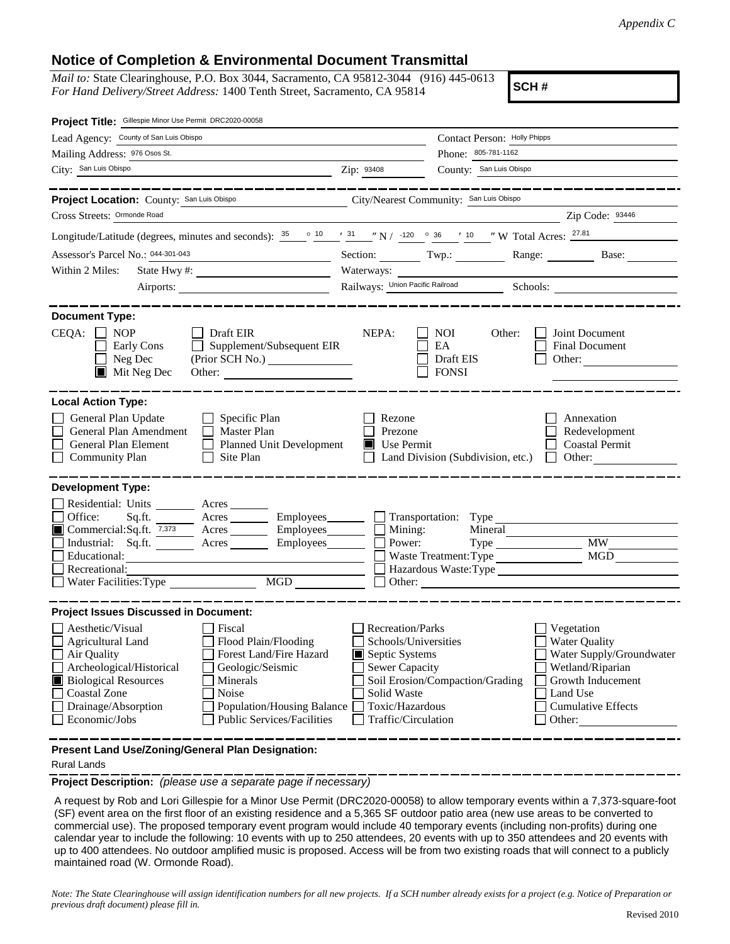## **Notice of Completion & Environmental Document Transmittal**

*Mail to:* State Clearinghouse, P.O. Box 3044, Sacramento, CA 95812-3044 (916) 445-0613 *For Hand Delivery/Street Address:* 1400 Tenth Street, Sacramento, CA 95814

**SCH #**

| Project Title: Gillespie Minor Use Permit DRC2020-00058                                                                                                                                                                                                                                                                                                 |                                                                                                                                                     |                                                         |                                                                                                                                                            |
|---------------------------------------------------------------------------------------------------------------------------------------------------------------------------------------------------------------------------------------------------------------------------------------------------------------------------------------------------------|-----------------------------------------------------------------------------------------------------------------------------------------------------|---------------------------------------------------------|------------------------------------------------------------------------------------------------------------------------------------------------------------|
| Lead Agency: County of San Luis Obispo                                                                                                                                                                                                                                                                                                                  | Contact Person: Holly Phipps                                                                                                                        |                                                         |                                                                                                                                                            |
| Mailing Address: 976 Osos St.                                                                                                                                                                                                                                                                                                                           | Phone: 805-781-1162                                                                                                                                 |                                                         |                                                                                                                                                            |
| City: San Luis Obispo                                                                                                                                                                                                                                                                                                                                   | Zip: 93408                                                                                                                                          | County: San Luis Obispo                                 |                                                                                                                                                            |
| Project Location: County: San Luis Obispo<br>Cross Streets: Ormonde Road                                                                                                                                                                                                                                                                                |                                                                                                                                                     | City/Nearest Community: San Luis Obispo                 | Zip Code: 93446                                                                                                                                            |
| Longitude/Latitude (degrees, minutes and seconds): $\frac{35}{25}$ $\circ$ $\frac{10}{25}$ $\frac{31}{25}$ $\frac{10}{25}$ $\frac{10}{25}$ $\frac{10}{25}$ $\frac{35}{25}$ $\frac{10}{25}$ $\frac{35}{25}$ $\frac{36}{25}$ $\frac{10}{25}$ $\frac{10}{25}$ $\frac{10}{25}$ $\frac{10}{25$                                                               |                                                                                                                                                     |                                                         |                                                                                                                                                            |
| Assessor's Parcel No.: 044-301-043                                                                                                                                                                                                                                                                                                                      |                                                                                                                                                     |                                                         |                                                                                                                                                            |
| <u> 1980 - Johann Barbara, martxa alemani</u> ar a<br>Within 2 Miles:                                                                                                                                                                                                                                                                                   |                                                                                                                                                     |                                                         | Section: Twp.: Range: Base:                                                                                                                                |
| Airports:                                                                                                                                                                                                                                                                                                                                               | Waterways:                                                                                                                                          |                                                         |                                                                                                                                                            |
|                                                                                                                                                                                                                                                                                                                                                         |                                                                                                                                                     |                                                         |                                                                                                                                                            |
| <b>Document Type:</b><br>$CEQA: \Box NOP$<br>$\Box$ Draft EIR<br>Supplement/Subsequent EIR<br>Early Cons<br>Neg Dec<br>$\blacksquare$ Mit Neg Dec<br>Other:                                                                                                                                                                                             | NEPA:                                                                                                                                               | <b>NOI</b><br>Other:<br>EA<br>Draft EIS<br><b>FONSI</b> | Joint Document<br><b>Final Document</b><br>Other: $\qquad \qquad$                                                                                          |
| <b>Local Action Type:</b>                                                                                                                                                                                                                                                                                                                               |                                                                                                                                                     |                                                         |                                                                                                                                                            |
| General Plan Update<br>$\Box$ Specific Plan<br>General Plan Amendment<br>$\Box$ Master Plan<br>General Plan Element<br><b>Planned Unit Development</b><br><b>Community Plan</b><br>Site Plan                                                                                                                                                            | Rezone<br>Prezone<br>$\blacksquare$ Use Permit                                                                                                      | Land Division (Subdivision, etc.)                       | Annexation<br>Redevelopment<br><b>Coastal Permit</b><br>$\Box$ Other:                                                                                      |
| <b>Development Type:</b>                                                                                                                                                                                                                                                                                                                                |                                                                                                                                                     |                                                         |                                                                                                                                                            |
| Residential: Units ________ Acres ______<br>Office:<br>Acres Employees Transportation: Type<br>Sq.ft.<br>Industrial: Sq.ft. Acres Employees<br>Educational:<br>Recreational:<br>MGD<br>Water Facilities: Type                                                                                                                                           | Power:                                                                                                                                              | Waste Treatment: Type<br>Other:                         | MGD<br>Hazardous Waste:Type                                                                                                                                |
| <b>Project Issues Discussed in Document:</b>                                                                                                                                                                                                                                                                                                            |                                                                                                                                                     |                                                         |                                                                                                                                                            |
| Aesthetic/Visual<br>Fiscal<br>Agricultural Land<br>Flood Plain/Flooding<br>Forest Land/Fire Hazard<br>Air Quality<br>Archeological/Historical<br>Geologic/Seismic<br><b>Biological Resources</b><br>Minerals<br><b>Coastal Zone</b><br>Noise<br>Drainage/Absorption<br>Population/Housing Balance<br>Economic/Jobs<br><b>Public Services/Facilities</b> | <b>Recreation/Parks</b><br>Schools/Universities<br>Septic Systems<br><b>Sewer Capacity</b><br>Solid Waste<br>Toxic/Hazardous<br>Traffic/Circulation | Soil Erosion/Compaction/Grading                         | Vegetation<br><b>Water Quality</b><br>Water Supply/Groundwater<br>Wetland/Riparian<br>Growth Inducement<br>Land Use<br><b>Cumulative Effects</b><br>Other: |
|                                                                                                                                                                                                                                                                                                                                                         |                                                                                                                                                     |                                                         |                                                                                                                                                            |

**Present Land Use/Zoning/General Plan Designation:**

## Rural Lands

**Project Description:** *(please use a separate page if necessary)*

 A request by Rob and Lori Gillespie for a Minor Use Permit (DRC2020-00058) to allow temporary events within a 7,373-square-foot (SF) event area on the first floor of an existing residence and a 5,365 SF outdoor patio area (new use areas to be converted to commercial use). The proposed temporary event program would include 40 temporary events (including non-profits) during one calendar year to include the following: 10 events with up to 250 attendees, 20 events with up to 350 attendees and 20 events with up to 400 attendees. No outdoor amplified music is proposed. Access will be from two existing roads that will connect to a publicly maintained road (W. Ormonde Road).

*Note: The State Clearinghouse will assign identification numbers for all new projects. If a SCH number already exists for a project (e.g. Notice of Preparation or previous draft document) please fill in.*